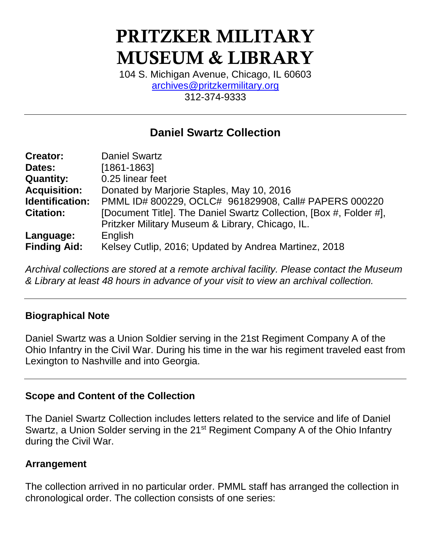# PRITZKER MILITARY MUSEUM & LIBRARY

104 S. Michigan Avenue, Chicago, IL 60603 [archives@pritzkermilitary.org](mailto:archives@pritzkermilitary.org) 312-374-9333

# **Daniel Swartz Collection**

| <b>Creator:</b>     | <b>Daniel Swartz</b>                                               |
|---------------------|--------------------------------------------------------------------|
| Dates:              | $[1861 - 1863]$                                                    |
| <b>Quantity:</b>    | 0.25 linear feet                                                   |
| <b>Acquisition:</b> | Donated by Marjorie Staples, May 10, 2016                          |
| Identification:     | PMML ID# 800229, OCLC# 961829908, Call# PAPERS 000220              |
| <b>Citation:</b>    | [Document Title]. The Daniel Swartz Collection, [Box #, Folder #], |
|                     | Pritzker Military Museum & Library, Chicago, IL.                   |
| Language:           | English                                                            |
| <b>Finding Aid:</b> | Kelsey Cutlip, 2016; Updated by Andrea Martinez, 2018              |

*Archival collections are stored at a remote archival facility. Please contact the Museum & Library at least 48 hours in advance of your visit to view an archival collection.*

# **Biographical Note**

Daniel Swartz was a Union Soldier serving in the 21st Regiment Company A of the Ohio Infantry in the Civil War. During his time in the war his regiment traveled east from Lexington to Nashville and into Georgia.

## **Scope and Content of the Collection**

The Daniel Swartz Collection includes letters related to the service and life of Daniel Swartz, a Union Solder serving in the 21<sup>st</sup> Regiment Company A of the Ohio Infantry during the Civil War.

## **Arrangement**

The collection arrived in no particular order. PMML staff has arranged the collection in chronological order. The collection consists of one series: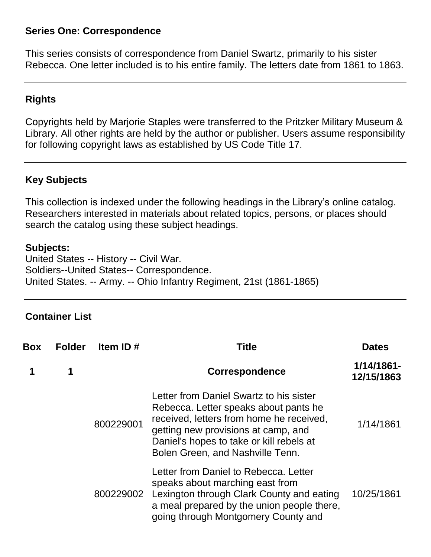#### **Series One: Correspondence**

This series consists of correspondence from Daniel Swartz, primarily to his sister Rebecca. One letter included is to his entire family. The letters date from 1861 to 1863.

# **Rights**

Copyrights held by Marjorie Staples were transferred to the Pritzker Military Museum & Library. All other rights are held by the author or publisher. Users assume responsibility for following copyright laws as established by US Code Title 17.

# **Key Subjects**

This collection is indexed under the following headings in the Library's online catalog. Researchers interested in materials about related topics, persons, or places should search the catalog using these subject headings.

#### **Subjects:**

United States -- History -- Civil War. Soldiers--United States-- Correspondence. United States. -- Army. -- Ohio Infantry Regiment, 21st (1861-1865)

#### **Container List**

| Box | <b>Folder</b> | Item ID#  | Title                                                                                                                                                                                                                                               | <b>Dates</b>                |
|-----|---------------|-----------|-----------------------------------------------------------------------------------------------------------------------------------------------------------------------------------------------------------------------------------------------------|-----------------------------|
|     | 1             |           | <b>Correspondence</b>                                                                                                                                                                                                                               | $1/14/1861 -$<br>12/15/1863 |
|     |               | 800229001 | Letter from Daniel Swartz to his sister<br>Rebecca. Letter speaks about pants he<br>received, letters from home he received,<br>getting new provisions at camp, and<br>Daniel's hopes to take or kill rebels at<br>Bolen Green, and Nashville Tenn. | 1/14/1861                   |
|     |               | 800229002 | Letter from Daniel to Rebecca. Letter<br>speaks about marching east from<br>Lexington through Clark County and eating<br>a meal prepared by the union people there,<br>going through Montgomery County and                                          | 10/25/1861                  |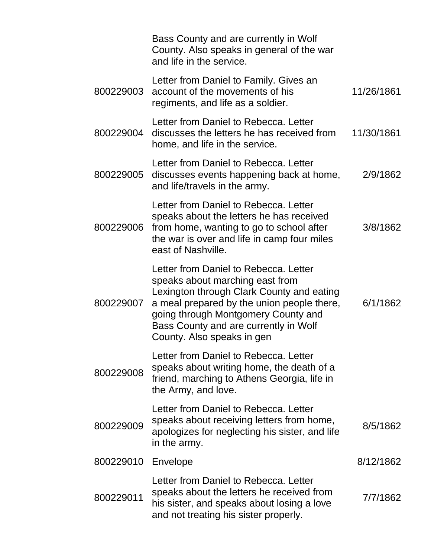|           | Bass County and are currently in Wolf<br>County. Also speaks in general of the war<br>and life in the service.                                                                                                                                                                    |            |
|-----------|-----------------------------------------------------------------------------------------------------------------------------------------------------------------------------------------------------------------------------------------------------------------------------------|------------|
| 800229003 | Letter from Daniel to Family. Gives an<br>account of the movements of his<br>regiments, and life as a soldier.                                                                                                                                                                    | 11/26/1861 |
| 800229004 | Letter from Daniel to Rebecca. Letter<br>discusses the letters he has received from<br>home, and life in the service.                                                                                                                                                             | 11/30/1861 |
| 800229005 | Letter from Daniel to Rebecca. Letter<br>discusses events happening back at home,<br>and life/travels in the army.                                                                                                                                                                | 2/9/1862   |
| 800229006 | Letter from Daniel to Rebecca. Letter<br>speaks about the letters he has received<br>from home, wanting to go to school after<br>the war is over and life in camp four miles<br>east of Nashville.                                                                                | 3/8/1862   |
| 800229007 | Letter from Daniel to Rebecca. Letter<br>speaks about marching east from<br>Lexington through Clark County and eating<br>a meal prepared by the union people there,<br>going through Montgomery County and<br>Bass County and are currently in Wolf<br>County. Also speaks in gen | 6/1/1862   |
| 800229008 | Letter from Daniel to Rebecca. Letter<br>speaks about writing home, the death of a<br>friend, marching to Athens Georgia, life in<br>the Army, and love.                                                                                                                          |            |
| 800229009 | Letter from Daniel to Rebecca. Letter<br>speaks about receiving letters from home,<br>apologizes for neglecting his sister, and life<br>in the army.                                                                                                                              | 8/5/1862   |
| 800229010 | Envelope                                                                                                                                                                                                                                                                          | 8/12/1862  |
| 800229011 | Letter from Daniel to Rebecca. Letter<br>speaks about the letters he received from<br>his sister, and speaks about losing a love<br>and not treating his sister properly.                                                                                                         | 7/7/1862   |